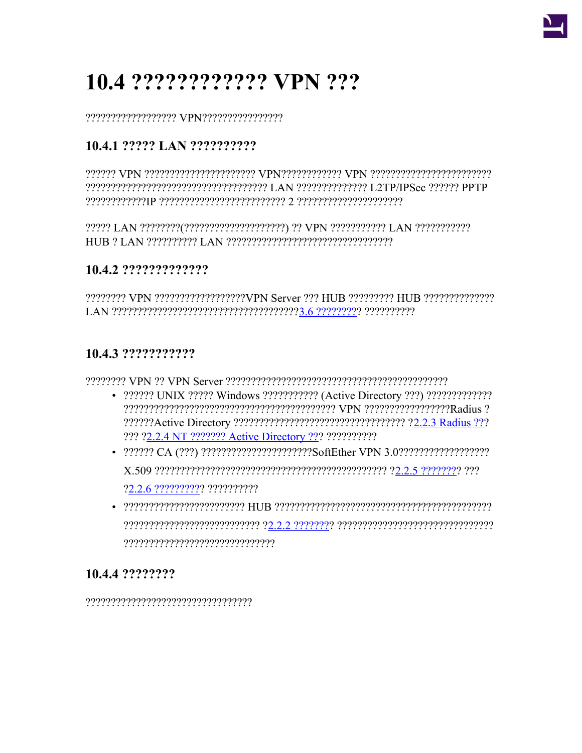

# 10.4 ????????????? VPN ???

## 10.4.1 ????? LAN ??????????

#### 10.4.2 ??????????????

22222222 VPN 22222222222222222VPN Server 222 HUB 222222222 HUB 22222222222222 

### 10.4.3 ????????????

- 2222222 UNIX 22222 Windows 2222222222 (Active Directory 222) 222222222222 ??? ?2.2.4 NT ??????? Active Directory ??? ???????????
- 222222 CA (222) 22222222222222222222256ftEther VPN 3.0222222222222222222 22 2 6 2222222222 2222222222
- a content de contract de contract de contract of the contract de contract de contract de contract de contract

## 10.4.4 ????????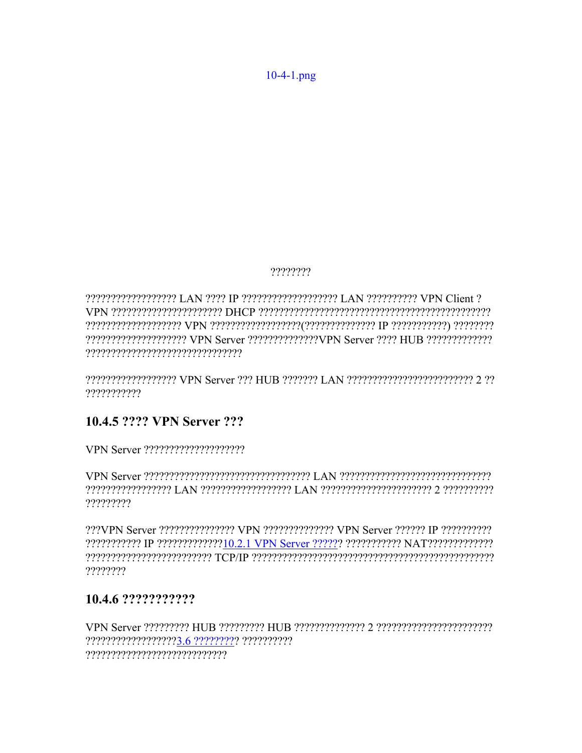$10-4-1$ .png

????????

???????????????????? LAN ???? IP ???????????????????? LAN ?????????? VPN Client ? ????????????????????? VPN Server ??????????????VPN Server ???? HUB ?????????????? 

**PERIOTE CONSTRAINT OF STATE CONSTRAINT CONSTRAINT CONSTRAINT CONSTRAINT CONSTRAINT CONSTRAINT CONSTRAINT CONSTRAINT** ???????????

## 10.4.5 ???? VPN Server ???

represence c prepresenterpresence and I concreterpresence and I presence to complete ?????????

222VPN Server 2222222222222 VPN 22222222222222 VPN Server 222222 IP 2222222222 ????????

#### 10.4.6 ????????????